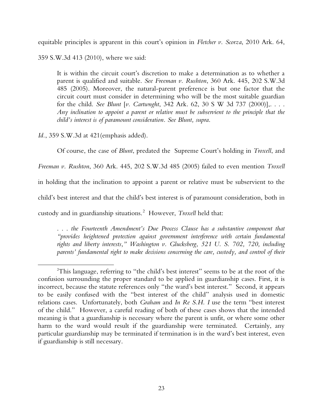Cite as 2015 Ark. 75

# SLIP OPINION

equitable principles is apparent in this court's opinion in *Fletcher v. Scorza*, 2010 Ark. 64,

359 S.W.3d 413 (2010), where we said:

It is within the circuit court's discretion to make a determination as to whether a parent is qualified and suitable. *See Freeman v. Rushton*, 360 Ark. 445, 202 S.W.3d 485 (2005). Moreover, the natural-parent preference is but one factor that the circuit court must consider in determining who will be the most suitable guardian for the child. *See Blunt* [*v. Cartwnght*, 342 Ark. 62, 30 S W 3d 737 (2000)],. . . . *Any inclination to appoint a parent or relative must be subservient to the principle that the child's interest is of paramount consideration. See Blunt, supra*.

*Id.*, 359 S.W.3d at 421(emphasis added).

Of course, the case of *Blunt*, predated the Supreme Court's holding in *Troxell*, and *Freeman v. Rushton*, 360 Ark. 445, 202 S.W.3d 485 (2005) failed to even mention *Troxell* in holding that the inclination to appoint a parent or relative must be subservient to the child's best interest and that the child's best interest is of paramount consideration, both in custody and in guardianship situations.<sup>[2](#page-22-0)</sup> However, *Troxell* held that:

. . . *the Fourteenth Amendment's Due Process Clause has a substantive component that "provides heightened protection against government interference with certain fundamental rights and liberty interests," Washington v. Glucksberg, 521 U. S. 702, 720, including parents' fundamental right to make decisions concerning the care, custody, and control of their* 

<span id="page-22-0"></span> <sup>2</sup> This language, referring to "the child's best interest" seems to be at the root of the confusion surrounding the proper standard to be applied in guardianship cases. First, it is incorrect, because the statute references only "the ward's best interest." Second, it appears to be easily confused with the "best interest of the child" analysis used in domestic relations cases. Unfortunately, both *Graham* and *In Re S.H. I* use the term "best interest of the child." However, a careful reading of both of these cases shows that the intended meaning is that a guardianship is necessary where the parent is unfit, or where some other harm to the ward would result if the guardianship were terminated. Certainly, any particular guardianship may be terminated if termination is in the ward's best interest, even if guardianship is still necessary.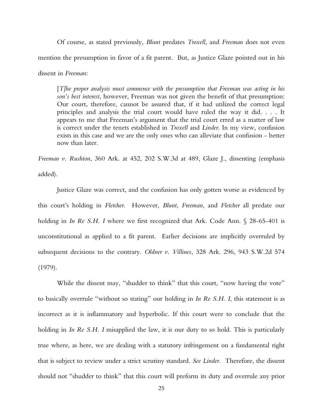## SLIP OPINIOI

Of course, as stated previously, *Blunt* predates *Troxell*, and *Freeman* does not even mention the presumption in favor of a fit parent. But, as Justice Glaze pointed out in his dissent in *Freeman*:

[*T]he proper analysis must commence with the presumption that Freeman was acting in his son's best interest*, however, Freeman was not given the benefit of that presumption: Our court, therefore, cannot be assured that, if it had utilized the correct legal principles and analysis the trial court would have ruled the way it did. . . . It appears to me that Freeman's argument that the trial court erred as a matter of law is correct under the tenets established in *Troxell* and *Linder*. In my view, confusion exists in this case and we are the only ones who can alleviate that confusion - better now than later.

*Freeman v. Rushton*, 360 Ark. at 452, 202 S.W.3d at 489, Glaze J., dissenting (emphasis added).

Justice Glaze was correct, and the confusion has only gotten worse as evidenced by this court's holding in *Fletcher*. However, *Blunt*, *Freeman*, and *Fletcher* all predate our holding in *In Re S.H. I* where we first recognized that Ark. Code Ann. § 28-65-401 is unconstitutional as applied to a fit parent. Earlier decisions are implicitly overruled by subsequent decisions to the contrary. *Oldner v. Villines*, 328 Ark. 296, 943 S.W.2d 574 (1979).

While the dissent may, "shudder to think" that this court, "now having the vote" to basically overrule "without so stating" our holding in *In Re S.H. I*, this statement is as incorrect as it is inflammatory and hyperbolic. If this court were to conclude that the holding in *In Re S.H. I* misapplied the law, it is our duty to so hold. This is particularly true where, as here, we are dealing with a statutory infringement on a fundamental right that is subject to review under a strict scrutiny standard. *See Linder.* Therefore, the dissent should not "shudder to think" that this court will preform its duty and overrule any prior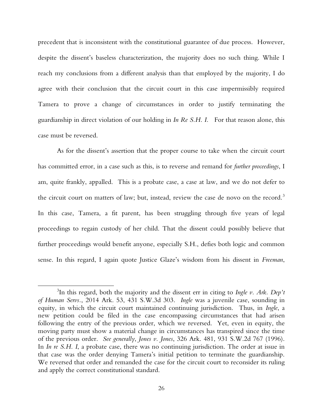### EP OPINIOI

precedent that is inconsistent with the constitutional guarantee of due process. However, despite the dissent's baseless characterization, the majority does no such thing. While I reach my conclusions from a different analysis than that employed by the majority, I do agree with their conclusion that the circuit court in this case impermissibly required Tamera to prove a change of circumstances in order to justify terminating the guardianship in direct violation of our holding in *In Re S.H. I.* For that reason alone, this case must be reversed.

As for the dissent's assertion that the proper course to take when the circuit court has committed error, in a case such as this, is to reverse and remand for *further proceedings*, I am, quite frankly, appalled. This is a probate case, a case at law, and we do not defer to the circuit court on matters of law; but, instead, review the case de novo on the record.<sup>[3](#page-25-0)</sup> In this case, Tamera, a fit parent, has been struggling through five years of legal proceedings to regain custody of her child. That the dissent could possibly believe that further proceedings would benefit anyone, especially S.H., defies both logic and common sense. In this regard, I again quote Justice Glaze's wisdom from his dissent in *Freeman*,

<span id="page-25-0"></span> <sup>3</sup> <sup>3</sup>In this regard, both the majority and the dissent err in citing to *Ingle v. Ark. Dep't of Human Servs.*, 2014 Ark. 53, 431 S.W.3d 303. *Ingle* was a juvenile case, sounding in equity, in which the circuit court maintained continuing jurisdiction. Thus, in *Ingle*, a new petition could be filed in the case encompassing circumstances that had arisen following the entry of the previous order, which we reversed. Yet, even in equity, the moving party must show a material change in circumstances has transpired since the time of the previous order. *See generally*, *Jones v. Jones*, 326 Ark. 481, 931 S.W.2d 767 (1996). In *In re S.H. I*, a probate case, there was no continuing jurisdiction. The order at issue in that case was the order denying Tamera's initial petition to terminate the guardianship. We reversed that order and remanded the case for the circuit court to reconsider its ruling and apply the correct constitutional standard.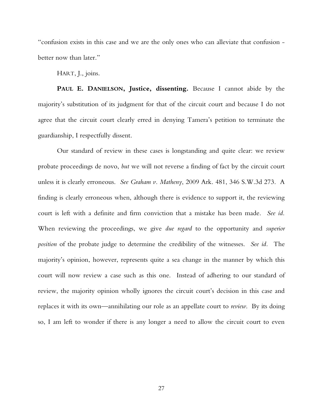"confusion exists in this case and we are the only ones who can alleviate that confusion better now than later."

HART, J., joins.

IP OPINION

**PAUL E. DANIELSON, Justice, dissenting.** Because I cannot abide by the majority's substitution of its judgment for that of the circuit court and because I do not agree that the circuit court clearly erred in denying Tamera's petition to terminate the guardianship, I respectfully dissent.

Our standard of review in these cases is longstanding and quite clear: we review probate proceedings de novo, *but* we will not reverse a finding of fact by the circuit court unless it is clearly erroneous. *See Graham v. Matheny*, 2009 Ark. 481, 346 S.W.3d 273. A finding is clearly erroneous when, although there is evidence to support it, the reviewing court is left with a definite and firm conviction that a mistake has been made. *See id.* When reviewing the proceedings, we give *due regard* to the opportunity and *superior position* of the probate judge to determine the credibility of the witnesses. *See id.* The majority's opinion, however, represents quite a sea change in the manner by which this court will now review a case such as this one. Instead of adhering to our standard of review, the majority opinion wholly ignores the circuit court's decision in this case and replaces it with its own—annihilating our role as an appellate court to *review*. By its doing so, I am left to wonder if there is any longer a need to allow the circuit court to even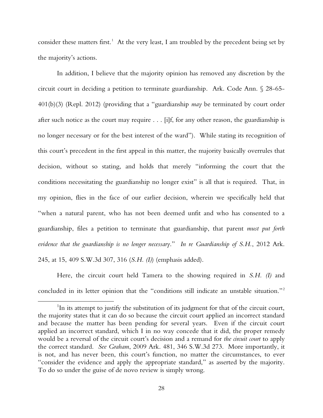#### Cite as 2015 Ark. 75

EP OPINIOI

consider these matters first.<sup>[1](#page-27-0)</sup> At the very least, I am troubled by the precedent being set by the majority's actions.

In addition, I believe that the majority opinion has removed any discretion by the circuit court in deciding a petition to terminate guardianship. Ark. Code Ann. § 28-65- 401(b)(3) (Repl. 2012) (providing that a "guardianship *may* be terminated by court order after such notice as the court may require . . . [i]f, for any other reason, the guardianship is no longer necessary or for the best interest of the ward"). While stating its recognition of this court's precedent in the first appeal in this matter, the majority basically overrules that decision, without so stating, and holds that merely "informing the court that the conditions necessitating the guardianship no longer exist" is all that is required. That, in my opinion, flies in the face of our earlier decision, wherein we specifically held that "when a natural parent, who has not been deemed unfit and who has consented to a guardianship, files a petition to terminate that guardianship, that parent *must put forth evidence that the guardianship is no longer necessary*." *In re Guardianship of S.H.*, 2012 Ark. 245, at 15, 409 S.W.3d 307, 316 (*S.H. (I)*) (emphasis added).

Here, the circuit court held Tamera to the showing required in *S.H. (I)* and concluded in its letter opinion that the "conditions still indicate an unstable situation."[2](#page-27-1)

<span id="page-27-1"></span><span id="page-27-0"></span> $\overline{\phantom{a}}$  $\rm{^{1}In}$  its attempt to justify the substitution of its judgment for that of the circuit court, the majority states that it can do so because the circuit court applied an incorrect standard and because the matter has been pending for several years. Even if the circuit court applied an incorrect standard, which I in no way concede that it did, the proper remedy would be a reversal of the circuit court's decision and a remand for *the circuit court* to apply the correct standard. *See Graham*, 2009 Ark. 481, 346 S.W.3d 273. More importantly, it is not, and has never been, this court's function, no matter the circumstances, to ever "consider the evidence and apply the appropriate standard," as asserted by the majority. To do so under the guise of de novo review is simply wrong.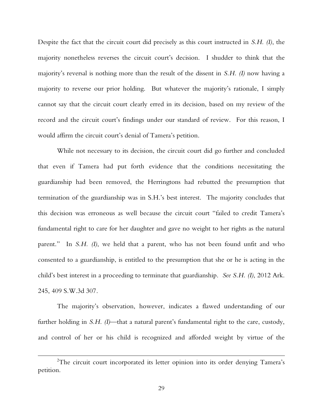### IP OPINION

Despite the fact that the circuit court did precisely as this court instructed in *S.H. (I)*, the majority nonetheless reverses the circuit court's decision. I shudder to think that the majority's reversal is nothing more than the result of the dissent in *S.H. (I)* now having a majority to reverse our prior holding. But whatever the majority's rationale, I simply cannot say that the circuit court clearly erred in its decision, based on my review of the record and the circuit court's findings under our standard of review. For this reason, I would affirm the circuit court's denial of Tamera's petition.

While not necessary to its decision, the circuit court did go further and concluded that even if Tamera had put forth evidence that the conditions necessitating the guardianship had been removed, the Herringtons had rebutted the presumption that termination of the guardianship was in S.H.'s best interest. The majority concludes that this decision was erroneous as well because the circuit court "failed to credit Tamera's fundamental right to care for her daughter and gave no weight to her rights as the natural parent." In *S.H. (I)*, we held that a parent, who has not been found unfit and who consented to a guardianship, is entitled to the presumption that she or he is acting in the child's best interest in a proceeding to terminate that guardianship. *See S.H. (I)*, 2012 Ark. 245, 409 S.W.3d 307.

The majority's observation, however, indicates a flawed understanding of our further holding in *S.H. (I)*—that a natural parent's fundamental right to the care, custody, and control of her or his child is recognized and afforded weight by virtue of the

 <sup>2</sup> <sup>2</sup>The circuit court incorporated its letter opinion into its order denying Tamera's petition.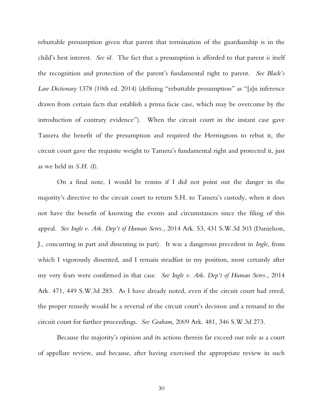#### Cite as 2015 Ark. 75

### **IP OPINION**

rebuttable presumption given that parent that termination of the guardianship is in the child's best interest. *See id.* The fact that a presumption is afforded to that parent *is* itself the recognition and protection of the parent's fundamental right to parent. *See Black's Law Dictionary* 1378 (10th ed. 2014) (defining "rebuttable presumption" as "[a]n inference drawn from certain facts that establish a prima facie case, which may be overcome by the introduction of contrary evidence"). When the circuit court in the instant case gave Tamera the benefit of the presumption and required the Herringtons to rebut it, the circuit court gave the requisite weight to Tamera's fundamental right and protected it, just as we held in *S.H. (I)*.

On a final note, I would be remiss if I did not point out the danger in the majority's directive to the circuit court to return S.H. to Tamera's custody, when it does not have the benefit of knowing the events and circumstances since the filing of this appeal. *See Ingle v. Ark. Dep't of Human Servs.*, 2014 Ark. 53, 431 S.W.3d 303 (Danielson, J., concurring in part and dissenting in part). It was a dangerous precedent in *Ingle*, from which I vigorously dissented, and I remain steadfast in my position, most certainly after my very fears were confirmed in that case. *See Ingle v. Ark. Dep't of Human Servs.*, 2014 Ark. 471, 449 S.W.3d 283. As I have already noted, even if the circuit court had erred, the proper remedy would be a reversal of the circuit court's decision and a remand to the circuit court for further proceedings. *See Graham*, 2009 Ark. 481, 346 S.W.3d 273.

Because the majority's opinion and its actions therein far exceed our role as a court of appellate review, and because, after having exercised the appropriate review in such